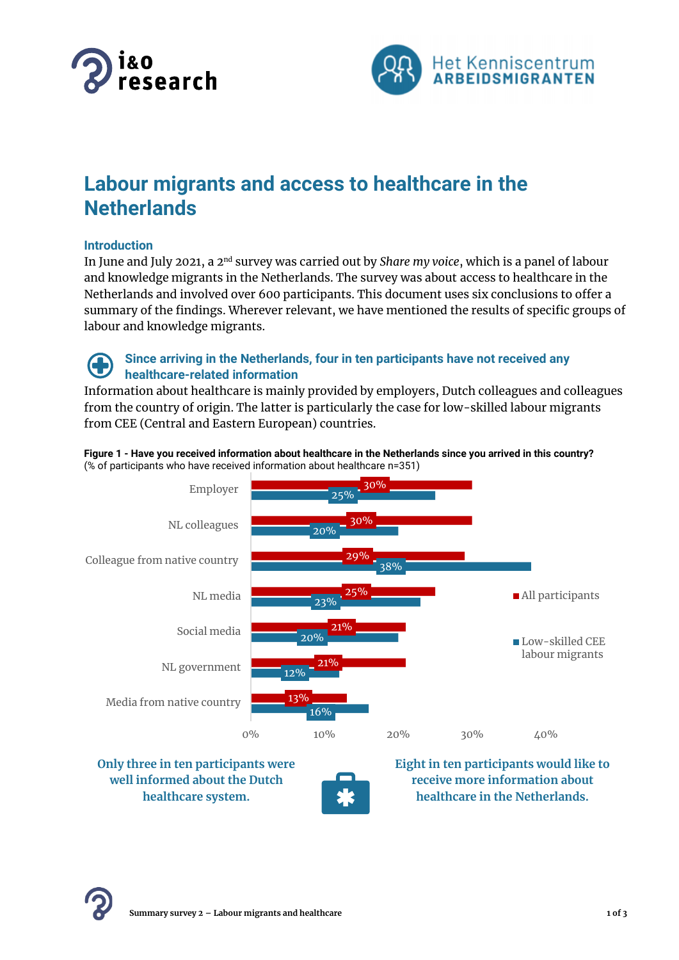



# **Labour migrants and access to healthcare in the Netherlands**

## **Introduction**

In June and July 2021, a 2nd survey was carried out by *Share my voice*, which is a panel of labour and knowledge migrants in the Netherlands. The survey was about access to healthcare in the Netherlands and involved over 600 participants. This document uses six conclusions to offer a summary of the findings. Wherever relevant, we have mentioned the results of specific groups of labour and knowledge migrants.

## **Since arriving in the Netherlands, four in ten participants have not received any healthcare-related information**

Information about healthcare is mainly provided by employers, Dutch colleagues and colleagues from the country of origin. The latter is particularly the case for low-skilled labour migrants from CEE (Central and Eastern European) countries.





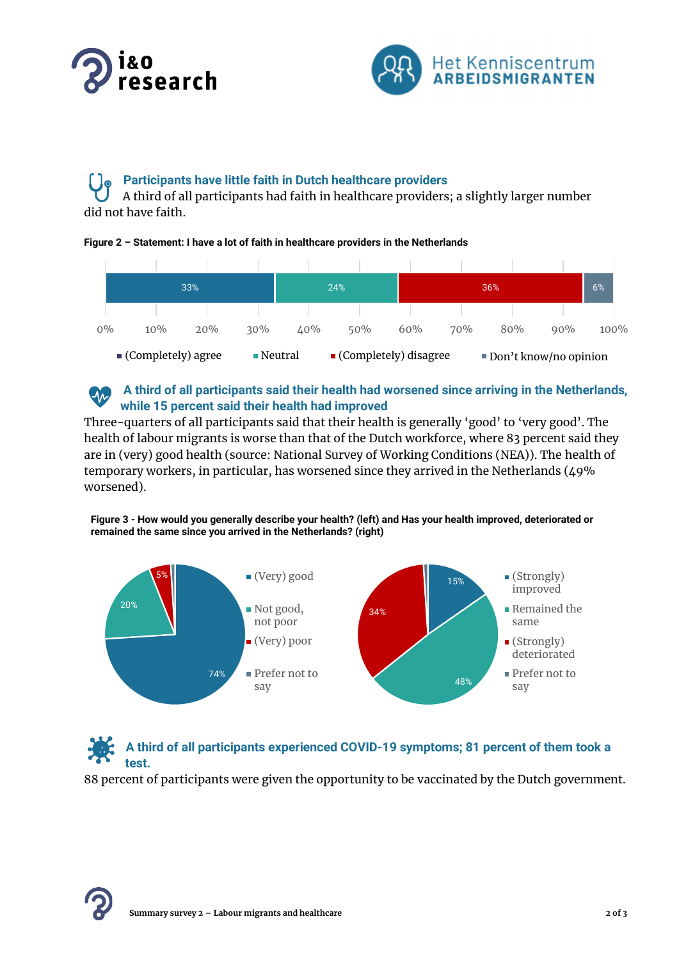



## **Participants have little faith in Dutch healthcare providers**

A third of all participants had faith in healthcare providers; a slightly larger number did not have faith.

### **Figure 2 – Statement: I have a lot of faith in healthcare providers in the Netherlands**



#### **A third of all participants said their health had worsened since arriving in the Netherlands, CM while 15 percent said their health had improved**

Three-quarters of all participants said that their health is generally 'good' to 'very good'. The health of labour migrants is worse than that of the Dutch workforce, where 83 percent said they are in (very) good health (source: National Survey of Working Conditions (NEA)). The health of temporary workers, in particular, has worsened since they arrived in the Netherlands (49% worsened).

### **Figure 3 - How would you generally describe your health? (left) and Has your health improved, deteriorated or remained the same since you arrived in the Netherlands? (right)**



## **A third of all participants experienced COVID-19 symptoms; 81 percent of them took a test.**

88 percent of participants were given the opportunity to be vaccinated by the Dutch government.